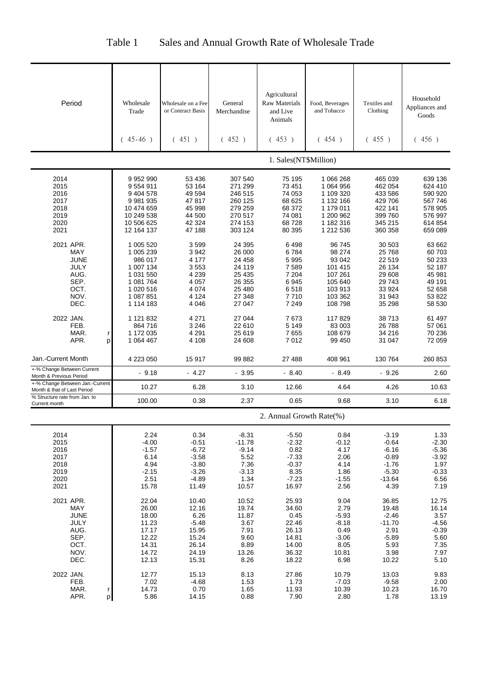| Table 1 | Sales and Annual Growth Rate of Wholesale Trade |  |
|---------|-------------------------------------------------|--|

| Period                                                                                 | Wholesale<br>Trade                                                                                 | Wholesale on a Fee<br>or Contract Basis                                         | General<br>Merchandise                                                        | Agricultural<br>Raw Materials<br>and Live                                    | Food, Beverages<br>and Tobacco                                                          | Textiles and<br>Clothing                                                           | Household<br>Appliances and<br>Goods                                         |
|----------------------------------------------------------------------------------------|----------------------------------------------------------------------------------------------------|---------------------------------------------------------------------------------|-------------------------------------------------------------------------------|------------------------------------------------------------------------------|-----------------------------------------------------------------------------------------|------------------------------------------------------------------------------------|------------------------------------------------------------------------------|
|                                                                                        | $(45-46)$                                                                                          | (451)                                                                           | (452)                                                                         | Animals<br>(453)                                                             | (454)                                                                                   | (455)                                                                              | (456)                                                                        |
|                                                                                        |                                                                                                    |                                                                                 |                                                                               | 1. Sales(NT\$Million)                                                        |                                                                                         |                                                                                    |                                                                              |
| 2014<br>2015<br>2016<br>2017<br>2018<br>2019<br>2020                                   | 9 9 5 2 9 9 0<br>9554911<br>9 404 578<br>9 981 935<br>10 474 659<br>10 249 538<br>10 506 625       | 53 436<br>53 164<br>49 594<br>47817<br>45 998<br>44 500<br>42 324               | 307 540<br>271 299<br>246 515<br>260 125<br>279 259<br>270 517<br>274 153     | 75 195<br>73 451<br>74 053<br>68 625<br>68 372<br>74 081<br>68728            | 1 066 268<br>1 064 956<br>1 109 320<br>1 132 166<br>1 179 011<br>1 200 962<br>1 182 316 | 465 039<br>462 054<br>433 586<br>429 706<br>422 141<br>399 760<br>345 215          | 639 136<br>624 410<br>590 920<br>567 746<br>578 905<br>576 997<br>614 854    |
| 2021<br>2021 APR.                                                                      | 12 164 137<br>1 005 520                                                                            | 47 188<br>3599                                                                  | 303 124<br>24 3 95                                                            | 80 395<br>6498                                                               | 1 212 536<br>96 745                                                                     | 360 358<br>30 503                                                                  | 659 089<br>63 662                                                            |
| <b>MAY</b><br><b>JUNE</b><br>JULY<br>AUG.<br>SEP.<br>OCT.<br>NOV.<br>DEC.              | 1 005 239<br>986 017<br>1 007 134<br>1 031 550<br>1 081 764<br>1 020 516<br>1 087 851<br>1 114 183 | 3942<br>4 1 7 7<br>3553<br>4 2 3 9<br>4 0 5 7<br>4 0 7 4<br>4 1 2 4<br>4 0 4 6  | 26 000<br>24 458<br>24 119<br>25 4 35<br>26 355<br>25 480<br>27 348<br>27 047 | 6784<br>5995<br>7589<br>7 204<br>6945<br>6518<br>7710<br>7 2 4 9             | 98 274<br>93 042<br>101 415<br>107 261<br>105 640<br>103 913<br>103 362<br>108 798      | 25 7 68<br>22 519<br>26 134<br>29 608<br>29743<br>33 924<br>31 943<br>35 298       | 60 703<br>50 233<br>52 187<br>45 981<br>49 191<br>52 658<br>53 822<br>58 530 |
| 2022 JAN.<br>FEB.<br>MAR.<br>r<br>APR.<br>p                                            | 1 121 832<br>864 716<br>1 172 035<br>1 064 467                                                     | 4 2 7 1<br>3 2 4 6<br>4 2 9 1<br>4 1 0 8                                        | 27 044<br>22 610<br>25 619<br>24 608                                          | 7673<br>5 1 4 9<br>7655<br>7012                                              | 117829<br>83 003<br>108 679<br>99 450                                                   | 38713<br>26788<br>34 216<br>31 047                                                 | 61 497<br>57 061<br>70 236<br>72 059                                         |
| Jan.-Current Month                                                                     | 4 223 050                                                                                          | 15917                                                                           | 99 882                                                                        | 27 488                                                                       | 408 961                                                                                 | 130 764                                                                            | 260 853                                                                      |
| +-% Change Between Current<br>Month & Previous Period                                  | $-9.18$                                                                                            | $-4.27$                                                                         | $-3.95$                                                                       | $-8.40$                                                                      | $-8.49$                                                                                 | $-9.26$                                                                            | 2.60                                                                         |
| +-% Change Between Jan.-Current<br>Month & that of Last Period                         | 10.27                                                                                              | 6.28                                                                            | 3.10                                                                          | 12.66                                                                        | 4.64                                                                                    | 4.26                                                                               | 10.63                                                                        |
| % Structure rate from Jan. to<br>Current month                                         | 100.00                                                                                             | 0.38                                                                            | 2.37                                                                          | 0.65                                                                         | 9.68                                                                                    | 3.10                                                                               | 6.18                                                                         |
|                                                                                        |                                                                                                    |                                                                                 |                                                                               | 2. Annual Growth Rate(%)                                                     |                                                                                         |                                                                                    |                                                                              |
| 2014<br>2015<br>2016<br>2017<br>2018<br>2019<br>2020<br>2021                           | 2.24<br>$-4.00$<br>$-1.57$<br>6.14<br>4.94<br>$-2.15$<br>2.51<br>15.78                             | 0.34<br>$-0.51$<br>$-6.72$<br>$-3.58$<br>$-3.80$<br>$-3.26$<br>$-4.89$<br>11.49 | $-8.31$<br>$-11.78$<br>$-9.14$<br>5.52<br>7.36<br>$-3.13$<br>1.34<br>10.57    | $-5.50$<br>$-2.32$<br>0.82<br>$-7.33$<br>$-0.37$<br>8.35<br>$-7.23$<br>16.97 | 0.84<br>$-0.12$<br>4.17<br>2.06<br>4.14<br>1.86<br>$-1.55$<br>2.56                      | $-3.19$<br>$-0.64$<br>$-6.16$<br>$-0.89$<br>$-1.76$<br>$-5.30$<br>$-13.64$<br>4.39 | 1.33<br>$-2.30$<br>$-5.36$<br>$-3.92$<br>1.97<br>$-0.33$<br>6.56<br>7.19     |
| 2021 APR.<br>MAY<br><b>JUNE</b><br><b>JULY</b><br>AUG.<br>SEP.<br>OCT.<br>NOV.<br>DEC. | 22.04<br>26.00<br>18.00<br>11.23<br>17.17<br>12.22<br>14.31<br>14.72<br>12.13                      | 10.40<br>12.16<br>6.26<br>$-5.48$<br>15.95<br>15.24<br>26.14<br>24.19<br>15.31  | 10.52<br>19.74<br>11.87<br>3.67<br>7.91<br>9.60<br>8.89<br>13.26<br>8.26      | 25.93<br>34.60<br>0.45<br>22.46<br>26.13<br>14.81<br>14.00<br>36.32<br>18.22 | 9.04<br>2.79<br>$-5.93$<br>$-8.18$<br>0.49<br>$-3.06$<br>8.05<br>10.81<br>6.98          | 36.85<br>19.48<br>$-2.46$<br>$-11.70$<br>2.91<br>$-5.89$<br>5.93<br>3.98<br>10.22  | 12.75<br>16.14<br>3.57<br>$-4.56$<br>$-0.39$<br>5.60<br>7.35<br>7.97<br>5.10 |
| 2022 JAN.<br>FEB.<br>MAR.<br>r<br>APR.<br>р                                            | 12.77<br>7.02<br>14.73<br>5.86                                                                     | 15.13<br>$-4.68$<br>0.70<br>14.15                                               | 8.13<br>1.53<br>1.65<br>0.88                                                  | 27.86<br>1.73<br>11.93<br>7.90                                               | 10.79<br>$-7.03$<br>10.39<br>2.80                                                       | 13.03<br>$-9.58$<br>10.23<br>1.78                                                  | 9.83<br>2.00<br>16.70<br>13.19                                               |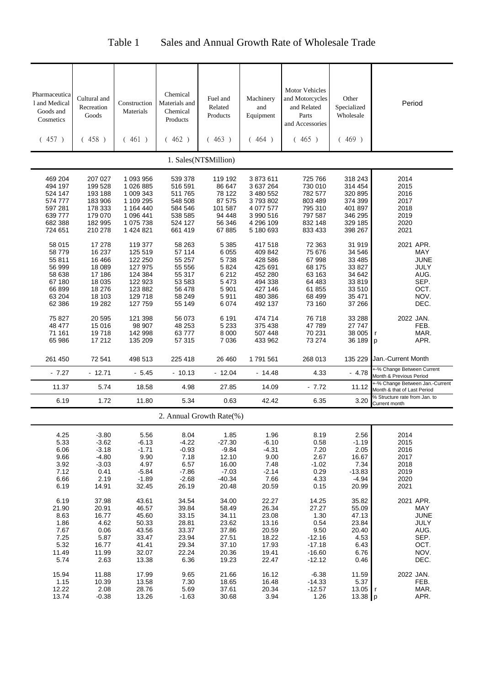## Table 1 Sales and Annual Growth Rate of Wholesale Trade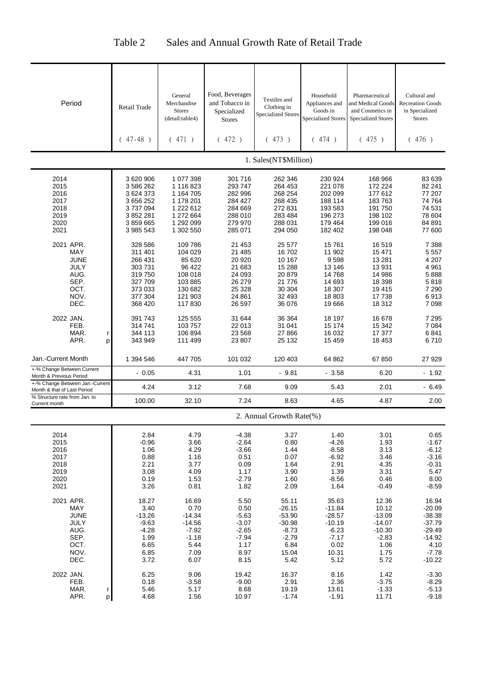| Period                                                                                 | Retail Trade<br>$47 - 48$ )                                                                      | General<br>Merchandise<br><b>Stores</b><br>(detail:table4)<br>471)                                   | Food, Beverages<br>and Tobacco in<br>Specialized<br><b>Stores</b><br>(472)              | Textiles and<br>Clothing in<br><b>Specialized Stores</b><br>(473)                        | Household<br>Appliances and<br>Goods in<br><b>Specialized Stores</b><br>474)<br>(        | Pharmaceutical<br>and Medical Goods<br>and Cosmetics in<br><b>Specialized Stores</b><br>(475) | Cultural and<br><b>Recreation Goods</b><br>in Specialized<br><b>Stores</b><br>(476)              |
|----------------------------------------------------------------------------------------|--------------------------------------------------------------------------------------------------|------------------------------------------------------------------------------------------------------|-----------------------------------------------------------------------------------------|------------------------------------------------------------------------------------------|------------------------------------------------------------------------------------------|-----------------------------------------------------------------------------------------------|--------------------------------------------------------------------------------------------------|
|                                                                                        |                                                                                                  |                                                                                                      |                                                                                         | 1. Sales(NT\$Million)                                                                    |                                                                                          |                                                                                               |                                                                                                  |
| 2014<br>2015<br>2016<br>2017<br>2018<br>2019<br>2020<br>2021                           | 3 620 906<br>3 586 262<br>3 624 373<br>3 656 252<br>3737094<br>3 852 281<br>3859665<br>3 985 543 | 1 077 398<br>1 116 823<br>1 164 705<br>1 178 201<br>1 222 612<br>1 272 664<br>1 292 099<br>1 302 550 | 301 716<br>293 747<br>282 996<br>284 427<br>284 669<br>288 010<br>279 970<br>285 071    | 262 346<br>264 453<br>268 254<br>268 435<br>272 831<br>283 484<br>288 031<br>294 050     | 230 924<br>221 078<br>202 099<br>188 114<br>193 583<br>196 273<br>179 464<br>182 402     | 168 966<br>172 224<br>177 612<br>183763<br>191 750<br>198 102<br>199 016<br>198 048           | 83 639<br>82 241<br>77 207<br>74 764<br>74 531<br>78 604<br>84 891<br>77 600                     |
| 2021 APR.<br>MAY<br>JUNE<br>JULY<br>AUG.<br>SEP.<br>OCT.<br>NOV.<br>DEC.               | 328 586<br>311 401<br>266 431<br>303731<br>319750<br>327 709<br>373 033<br>377 304<br>368 420    | 109 786<br>104 029<br>85 620<br>96 422<br>108 018<br>103 885<br>130 682<br>121 903<br>117830         | 21 453<br>21 485<br>20 9 20<br>21 683<br>24 093<br>26 279<br>25 328<br>24 861<br>26 597 | 25 577<br>16702<br>10 167<br>15 288<br>20 879<br>21 776<br>30 304<br>32 493<br>36 076    | 15761<br>11 902<br>9598<br>13 146<br>14768<br>14 693<br>18 307<br>18803<br>19666         | 16 519<br>15 471<br>13 2 8 1<br>13 931<br>14 986<br>18 398<br>19 4 15<br>17 738<br>18 3 12    | 7 3 8 8<br>5 5 5 7<br>4 207<br>4 9 61<br>5888<br>5818<br>7 2 9 0<br>6913<br>7 0 9 8              |
| 2022 JAN.<br>FEB.<br>MAR.<br>r<br>APR.<br>p                                            | 391 743<br>314741<br>344 113<br>343 949                                                          | 125 555<br>103 757<br>106 894<br>111 499                                                             | 31 644<br>22 013<br>23 568<br>23 807                                                    | 36 364<br>31 041<br>27 866<br>25 132                                                     | 18 197<br>15 174<br>16 032<br>15 4 5 9                                                   | 16 678<br>15 342<br>17 377<br>18 453                                                          | 7 2 9 5<br>7 0 8 4<br>6841<br>6710                                                               |
| Jan.-Current Month                                                                     | 1 394 546                                                                                        | 447 705                                                                                              | 101 032                                                                                 | 120 403                                                                                  | 64 862                                                                                   | 67850                                                                                         | 27 929                                                                                           |
| +-% Change Between Current<br>Month & Previous Period                                  | $-0.05$                                                                                          | 4.31                                                                                                 | 1.01                                                                                    | $-9.81$                                                                                  | $-3.58$                                                                                  | 6.20                                                                                          | $-1.92$                                                                                          |
| +-% Change Between Jan.-Current<br>Month & that of Last Period                         | 4.24                                                                                             | 3.12                                                                                                 | 7.68                                                                                    | 9.09                                                                                     | 5.43                                                                                     | 2.01                                                                                          | $-6.49$                                                                                          |
| % Structure rate from Jan. to<br>Current month                                         | 100.00                                                                                           | 32.10                                                                                                | 7.24                                                                                    | 8.63                                                                                     | 4.65                                                                                     | 4.87                                                                                          | 2.00                                                                                             |
|                                                                                        |                                                                                                  |                                                                                                      |                                                                                         | 2. Annual Growth Rate(%)                                                                 |                                                                                          |                                                                                               |                                                                                                  |
| 2014<br>2015<br>2016<br>2017<br>2018<br>2019<br>2020<br>2021                           | 2.84<br>$-0.96$<br>1.06<br>0.88<br>2.21<br>3.08<br>0.19<br>3.26                                  | 4.79<br>3.66<br>4.29<br>1.16<br>3.77<br>4.09<br>1.53<br>0.81                                         | $-4.38$<br>$-2.64$<br>$-3.66$<br>0.51<br>0.09<br>1.17<br>$-2.79$<br>1.82                | 3.27<br>0.80<br>1.44<br>0.07<br>1.64<br>3.90<br>1.60<br>2.09                             | 1.40<br>$-4.26$<br>$-8.58$<br>$-6.92$<br>2.91<br>1.39<br>$-8.56$<br>1.64                 | 3.01<br>1.93<br>3.13<br>3.46<br>4.35<br>3.31<br>0.46<br>$-0.49$                               | 0.65<br>$-1.67$<br>$-6.12$<br>$-3.16$<br>$-0.31$<br>5.47<br>8.00<br>$-8.59$                      |
| 2021 APR.<br>MAY<br><b>JUNE</b><br><b>JULY</b><br>AUG.<br>SEP.<br>OCT.<br>NOV.<br>DEC. | 18.27<br>3.40<br>$-13.26$<br>$-9.63$<br>$-4.28$<br>1.99<br>6.65<br>6.85<br>3.72                  | 16.69<br>0.70<br>$-14.34$<br>$-14.56$<br>$-7.92$<br>$-1.18$<br>5.44<br>7.09<br>6.07                  | 5.50<br>0.50<br>$-5.63$<br>$-3.07$<br>$-2.65$<br>$-7.94$<br>1.17<br>8.97<br>8.15        | 55.11<br>$-26.15$<br>$-53.90$<br>$-30.98$<br>$-8.73$<br>$-2.79$<br>6.84<br>15.04<br>5.42 | 35.63<br>$-11.84$<br>$-28.57$<br>$-10.19$<br>$-6.23$<br>$-7.17$<br>0.02<br>10.31<br>5.12 | 12.36<br>10.12<br>$-13.09$<br>$-14.07$<br>$-10.30$<br>$-2.83$<br>1.06<br>1.75<br>5.72         | 16.94<br>$-20.09$<br>$-38.38$<br>$-37.79$<br>$-29.49$<br>$-14.92$<br>4.10<br>$-7.78$<br>$-10.22$ |
| 2022 JAN.<br>FEB.<br>MAR.<br>r<br>APR.<br>p                                            | 6.25<br>0.18<br>5.46<br>4.68                                                                     | 9.06<br>$-3.58$<br>5.17<br>1.56                                                                      | 19.42<br>$-9.00$<br>8.68<br>10.97                                                       | 16.37<br>2.91<br>19.19<br>$-1.74$                                                        | 8.16<br>2.36<br>13.61<br>$-1.91$                                                         | 1.42<br>$-3.75$<br>$-1.33$<br>11.71                                                           | $-3.30$<br>$-8.29$<br>$-5.13$<br>$-9.18$                                                         |

## Table 2 Sales and Annual Growth Rate of Retail Trade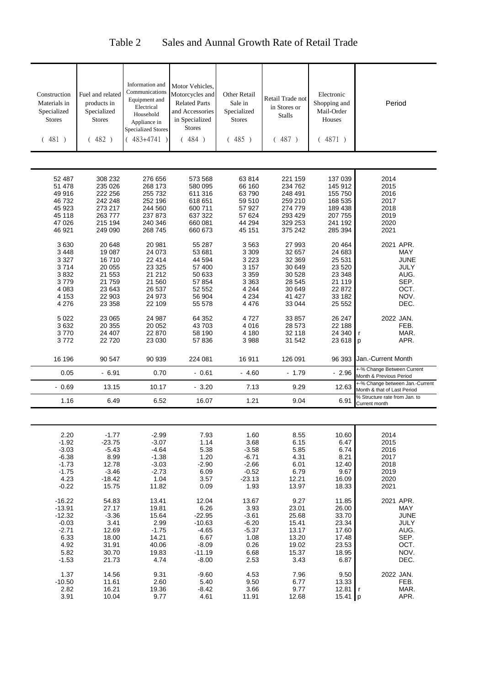| Construction<br>Materials in<br>Specialized<br><b>Stores</b><br>(481)                     | Fuel and related<br>products in<br>Specialized<br><b>Stores</b><br>(482)             | Information and<br>Communications<br>Equipment and<br>Electrical<br>Household<br>Appliance in<br><b>Specialized Stores</b><br>$(483+4741)$ | Motor Vehicles,<br>Motorcycles and<br><b>Related Parts</b><br>and Accessories<br>in Specialized<br><b>Stores</b><br>(484) | Other Retail<br>Sale in<br>Specialized<br><b>Stores</b><br>(485)                        | Retail Trade not<br>in Stores or<br><b>Stalls</b><br>(487)                             | Electronic<br>Shopping and<br>Mail-Order<br>Houses<br>(4871)                             | Period                                                                                  |
|-------------------------------------------------------------------------------------------|--------------------------------------------------------------------------------------|--------------------------------------------------------------------------------------------------------------------------------------------|---------------------------------------------------------------------------------------------------------------------------|-----------------------------------------------------------------------------------------|----------------------------------------------------------------------------------------|------------------------------------------------------------------------------------------|-----------------------------------------------------------------------------------------|
|                                                                                           |                                                                                      |                                                                                                                                            |                                                                                                                           |                                                                                         |                                                                                        |                                                                                          |                                                                                         |
| 52 487<br>51 478<br>49 916<br>46732<br>45 923<br>45 118<br>47 0 26<br>46 921              | 308 232<br>235 026<br>222 256<br>242 248<br>273 217<br>263777<br>215 194<br>249 090  | 276 656<br>268 173<br>255 732<br>252 196<br>244 560<br>237 873<br>240 346<br>268 745                                                       | 573 568<br>580 095<br>611 316<br>618 651<br>600 711<br>637 322<br>660 081<br>660 673                                      | 63814<br>66 160<br>63790<br>59 510<br>57 927<br>57 624<br>44 294<br>45 151              | 221 159<br>234 762<br>248 491<br>259 210<br>274 779<br>293 429<br>329 253<br>375 242   | 137 039<br>145 912<br>155 750<br>168 535<br>189 438<br>207 755<br>241 192<br>285 394     | 2014<br>2015<br>2016<br>2017<br>2018<br>2019<br>2020<br>2021                            |
| 3630<br>3 4 4 8<br>3 3 2 7<br>3714<br>3832<br>3779<br>4 0 8 3<br>4 1 5 3<br>4 2 7 6       | 20 648<br>19 087<br>16710<br>20 055<br>21 553<br>21759<br>23 643<br>22 903<br>23 358 | 20 981<br>24 073<br>22 414<br>23 325<br>21 212<br>21 560<br>26 537<br>24 973<br>22 109                                                     | 55 287<br>53 681<br>44 594<br>57 400<br>50 633<br>57 854<br>52 552<br>56 904<br>55 578                                    | 3563<br>3 3 0 9<br>3 223<br>3 1 5 7<br>3 3 5 9<br>3 3 6 3<br>4 2 4 4<br>4 2 3 4<br>4476 | 27 993<br>32 657<br>32 369<br>30 649<br>30 528<br>28 545<br>30 649<br>41 427<br>33 044 | 20 4 64<br>24 683<br>25 531<br>23 5 20<br>23 348<br>21 119<br>22 872<br>33 182<br>25 552 | 2021 APR.<br><b>MAY</b><br><b>JUNE</b><br>JULY<br>AUG.<br>SEP.<br>OCT.<br>NOV.<br>DEC.  |
| 5 0 2 2<br>3632<br>3770<br>3772                                                           | 23 065<br>20 355<br>24 407<br>22720                                                  | 24 987<br>20 052<br>22 870<br>23 030                                                                                                       | 64 352<br>43 703<br>58 190<br>57 836                                                                                      | 4 7 2 7<br>4 0 1 6<br>4 180<br>3988                                                     | 33 857<br>28 573<br>32 118<br>31 542                                                   | 26 247<br>22 188<br>24 340<br>23 618                                                     | 2022 JAN.<br>FEB.<br>MAR.<br>APR.<br>p                                                  |
| 16 196                                                                                    | 90 547                                                                               | 90 939                                                                                                                                     | 224 081                                                                                                                   | 16911                                                                                   | 126 091                                                                                | 96 393                                                                                   | Jan.-Current Month                                                                      |
| 0.05                                                                                      | $-6.91$                                                                              | 0.70                                                                                                                                       | $-0.61$                                                                                                                   | $-4.60$                                                                                 | $-1.79$                                                                                | $-2.96$                                                                                  | +-% Change Between Current<br>Month & Previous Period<br>-% Change between Jan.-Current |
| $-0.69$                                                                                   | 13.15                                                                                | 10.17                                                                                                                                      | $-3.20$                                                                                                                   | 7.13                                                                                    | 9.29                                                                                   | 12.63                                                                                    | Month & that of Last Period<br>% Structure rate from Jan. to                            |
| 1.16                                                                                      | 6.49                                                                                 | 6.52                                                                                                                                       | 16.07                                                                                                                     | 1.21                                                                                    | 9.04                                                                                   | 6.91                                                                                     | Current month                                                                           |
|                                                                                           |                                                                                      |                                                                                                                                            |                                                                                                                           |                                                                                         |                                                                                        |                                                                                          |                                                                                         |
| 2.20<br>$-1.92$<br>$-3.03$<br>$-6.38$<br>$-1.73$<br>$-1.75$<br>4.23<br>$-0.22$            | $-1.77$<br>$-23.75$<br>$-5.43$<br>8.99<br>12.78<br>$-3.46$<br>$-18.42$<br>15.75      | $-2.99$<br>$-3.07$<br>$-4.64$<br>$-1.38$<br>$-3.03$<br>$-2.73$<br>1.04<br>11.82                                                            | 7.93<br>1.14<br>5.38<br>1.20<br>$-2.90$<br>6.09<br>3.57<br>0.09                                                           | 1.60<br>3.68<br>$-3.58$<br>$-6.71$<br>$-2.66$<br>$-0.52$<br>$-23.13$<br>1.93            | 8.55<br>6.15<br>5.85<br>4.31<br>6.01<br>6.79<br>12.21<br>13.97                         | 10.60<br>6.47<br>6.74<br>8.21<br>12.40<br>9.67<br>16.09<br>18.33                         | 2014<br>2015<br>2016<br>2017<br>2018<br>2019<br>2020<br>2021                            |
| $-16.22$<br>$-13.91$<br>$-12.32$<br>$-0.03$<br>$-2.71$<br>6.33<br>4.92<br>5.82<br>$-1.53$ | 54.83<br>27.17<br>$-3.36$<br>3.41<br>12.69<br>18.00<br>31.91<br>30.70<br>21.73       | 13.41<br>19.81<br>15.64<br>2.99<br>$-1.75$<br>14.21<br>40.06<br>19.83<br>4.74                                                              | 12.04<br>6.26<br>$-22.95$<br>$-10.63$<br>$-4.65$<br>6.67<br>$-8.09$<br>$-11.19$<br>$-8.00$                                | 13.67<br>3.93<br>$-3.61$<br>$-6.20$<br>$-5.37$<br>1.08<br>0.26<br>6.68<br>2.53          | 9.27<br>23.01<br>25.68<br>15.41<br>13.17<br>13.20<br>19.02<br>15.37<br>3.43            | 11.85<br>26.00<br>33.70<br>23.34<br>17.60<br>17.48<br>23.53<br>18.95<br>6.87             | 2021 APR.<br>MAY<br><b>JUNE</b><br>JULY<br>AUG.<br>SEP.<br>OCT.<br>NOV.<br>DEC.         |
| 1.37<br>$-10.50$<br>2.82<br>3.91                                                          | 14.56<br>11.61<br>16.21<br>10.04                                                     | 9.31<br>2.60<br>19.36<br>9.77                                                                                                              | $-9.60$<br>5.40<br>-8.42<br>4.61                                                                                          | 4.53<br>9.50<br>3.66<br>11.91                                                           | 7.96<br>6.77<br>9.77<br>12.68                                                          | 9.50<br>13.33<br>12.81<br>15.41 p                                                        | 2022 JAN.<br>FEB.<br>MAR.<br>$\mathsf{r}$<br>APR.                                       |

## Table 2 Sales and Aunnal Growth Rate of Retail Trade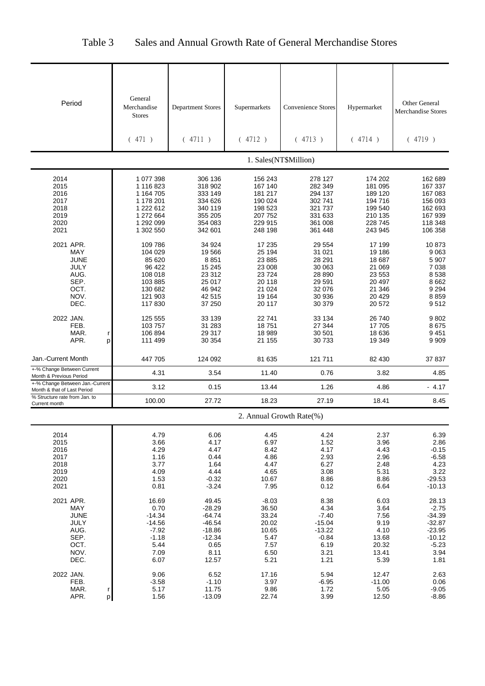| Table 3 |  |  | Sales and Annual Growth Rate of General Merchandise Stores |
|---------|--|--|------------------------------------------------------------|
|---------|--|--|------------------------------------------------------------|

| Period                                                                                 | General<br>Merchandise<br><b>Stores</b>                                                              | <b>Department Stores</b>                                                                   | Supermarkets                                                                           | <b>Convenience Stores</b>                                                              | Hypermarket                                                                             | <b>Other General</b><br><b>Merchandise Stores</b>                                           |
|----------------------------------------------------------------------------------------|------------------------------------------------------------------------------------------------------|--------------------------------------------------------------------------------------------|----------------------------------------------------------------------------------------|----------------------------------------------------------------------------------------|-----------------------------------------------------------------------------------------|---------------------------------------------------------------------------------------------|
|                                                                                        | (471)                                                                                                | (4711)                                                                                     | (4712)                                                                                 | (4713)                                                                                 | (4714)                                                                                  | (4719)                                                                                      |
|                                                                                        |                                                                                                      |                                                                                            |                                                                                        | 1. Sales(NT\$Million)                                                                  |                                                                                         |                                                                                             |
| 2014<br>2015<br>2016<br>2017<br>2018<br>2019<br>2020<br>2021                           | 1 077 398<br>1 116 823<br>1 164 705<br>1 178 201<br>1 222 612<br>1 272 664<br>1 292 099<br>1 302 550 | 306 136<br>318 902<br>333 149<br>334 626<br>340 119<br>355 205<br>354 083<br>342 601       | 156 243<br>167 140<br>181 217<br>190 024<br>198 523<br>207 752<br>229 915<br>248 198   | 278 127<br>282 349<br>294 137<br>302 741<br>321 737<br>331 633<br>361 008<br>361 448   | 174 202<br>181 095<br>189 120<br>194 716<br>199 540<br>210 135<br>228 745<br>243 945    | 162 689<br>167 337<br>167 083<br>156 093<br>162 693<br>167 939<br>118 348<br>106 358        |
| 2021 APR.<br><b>MAY</b><br><b>JUNE</b><br>JULY<br>AUG.<br>SEP.<br>OCT.<br>NOV.<br>DEC. | 109 786<br>104 029<br>85 620<br>96 422<br>108 018<br>103 885<br>130 682<br>121 903<br>117830         | 34 924<br>19566<br>8851<br>15 245<br>23 312<br>25 017<br>46 942<br>42 515<br>37 250        | 17 235<br>25 194<br>23 885<br>23 008<br>23724<br>20 118<br>21 0 24<br>19 164<br>20 117 | 29 554<br>31 021<br>28 291<br>30 063<br>28 890<br>29 591<br>32 076<br>30 936<br>30 379 | 17 199<br>19 186<br>18 687<br>21 069<br>23 553<br>20 497<br>21 346<br>20 4 29<br>20 572 | 10873<br>9063<br>5 9 0 7<br>7 0 38<br>8538<br>8662<br>9 2 9 4<br>8859<br>9512               |
| 2022 JAN.<br>FEB.<br>MAR.<br>r<br>APR.<br>p                                            | 125 555<br>103 757<br>106 894<br>111 499                                                             | 33 139<br>31 283<br>29 317<br>30 354                                                       | 22741<br>18751<br>18 989<br>21 155                                                     | 33 134<br>27 344<br>30 501<br>30 733                                                   | 26 740<br>17 705<br>18 636<br>19 349                                                    | 9802<br>8675<br>9451<br>9 9 0 9                                                             |
| Jan.-Current Month                                                                     | 447 705                                                                                              | 124 092                                                                                    | 81 635                                                                                 | 121 711                                                                                | 82 430                                                                                  | 37837                                                                                       |
| +-% Change Between Current<br>Month & Previous Period                                  | 4.31                                                                                                 | 3.54                                                                                       | 11.40                                                                                  | 0.76                                                                                   | 3.82                                                                                    | 4.85                                                                                        |
| +-% Change Between Jan.-Current<br>Month & that of Last Period                         | 3.12                                                                                                 | 0.15                                                                                       | 13.44                                                                                  | 1.26                                                                                   | 4.86                                                                                    | $-4.17$                                                                                     |
| % Structure rate from Jan. to<br>Current month                                         | 100.00                                                                                               | 27.72                                                                                      | 18.23                                                                                  | 27.19                                                                                  | 18.41                                                                                   | 8.45                                                                                        |
|                                                                                        |                                                                                                      |                                                                                            |                                                                                        | 2. Annual Growth Rate(%)                                                               |                                                                                         |                                                                                             |
| 2014<br>2015<br>2016<br>2017<br>2018<br>2019<br>2020<br>2021                           | 4.79<br>3.66<br>4.29<br>1.16<br>3.77<br>4.09<br>1.53<br>0.81                                         | 6.06<br>4.17<br>4.47<br>0.44<br>1.64<br>4.44<br>$-0.32$<br>$-3.24$                         | 4.45<br>6.97<br>8.42<br>4.86<br>4.47<br>4.65<br>10.67<br>7.95                          | 4.24<br>1.52<br>4.17<br>2.93<br>6.27<br>3.08<br>8.86<br>0.12                           | 2.37<br>3.96<br>4.43<br>2.96<br>2.48<br>5.31<br>8.86<br>6.64                            | 6.39<br>2.86<br>$-0.15$<br>$-6.58$<br>4.23<br>3.22<br>$-29.53$<br>$-10.13$                  |
| 2021 APR.<br>MAY<br><b>JUNE</b><br>JULY<br>AUG.<br>SEP.<br>OCT.<br>NOV.<br>DEC.        | 16.69<br>0.70<br>$-14.34$<br>$-14.56$<br>$-7.92$<br>$-1.18$<br>5.44<br>7.09<br>6.07                  | 49.45<br>$-28.29$<br>$-64.74$<br>$-46.54$<br>$-18.86$<br>$-12.34$<br>0.65<br>8.11<br>12.57 | $-8.03$<br>36.50<br>33.24<br>20.02<br>10.65<br>5.47<br>7.57<br>6.50<br>5.21            | 8.38<br>4.34<br>$-7.40$<br>$-15.04$<br>$-13.22$<br>$-0.84$<br>6.19<br>3.21<br>1.21     | 6.03<br>3.64<br>7.56<br>9.19<br>4.10<br>13.68<br>20.32<br>13.41<br>5.39                 | 28.13<br>$-2.75$<br>$-34.39$<br>$-32.87$<br>$-23.95$<br>$-10.12$<br>$-5.23$<br>3.94<br>1.81 |
| 2022 JAN.<br>FEB.<br>MAR.<br>r<br>APR.<br>p                                            | 9.06<br>$-3.58$<br>5.17<br>1.56                                                                      | 6.52<br>$-1.10$<br>11.75<br>$-13.09$                                                       | 17.16<br>3.97<br>9.86<br>22.74                                                         | 5.94<br>$-6.95$<br>1.72<br>3.99                                                        | 12.47<br>$-11.00$<br>5.05<br>12.50                                                      | 2.63<br>0.06<br>$-9.05$<br>$-8.86$                                                          |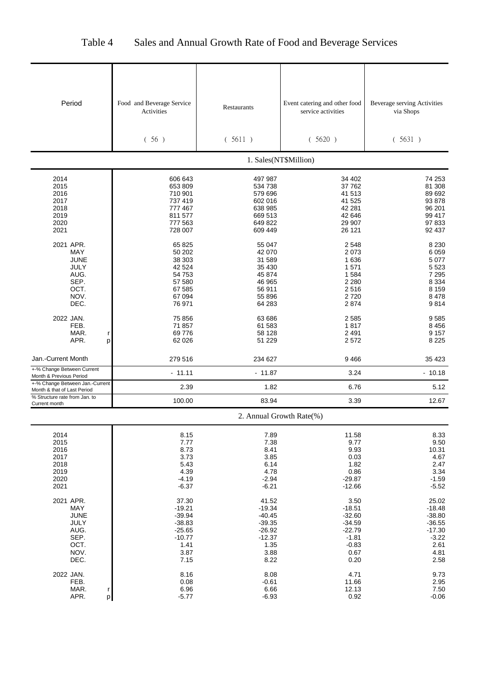| Period                                                         | Food and Beverage Service<br>Activities | Restaurants          | Event catering and other food<br>service activities | Beverage serving Activities<br>via Shops |
|----------------------------------------------------------------|-----------------------------------------|----------------------|-----------------------------------------------------|------------------------------------------|
|                                                                |                                         |                      |                                                     |                                          |
|                                                                |                                         |                      |                                                     |                                          |
|                                                                | (56)                                    | (5611)               | (5620)                                              | (5631)                                   |
|                                                                |                                         |                      | 1. Sales(NT\$Million)                               |                                          |
| 2014                                                           | 606 643                                 | 497 987              | 34 402                                              | 74 253                                   |
| 2015                                                           | 653 809                                 | 534 738              | 37762                                               | 81 308                                   |
| 2016                                                           | 710 901                                 | 579 696              | 41 513                                              | 89 692                                   |
| 2017<br>2018                                                   | 737 419<br>777 467                      | 602 016<br>638 985   | 41 525<br>42 281                                    | 93 878<br>96 201                         |
| 2019                                                           | 811 577                                 | 669 513              | 42 646                                              | 99 417                                   |
| 2020                                                           | 777 563                                 | 649 822              | 29 907                                              | 97 833                                   |
| 2021                                                           | 728 007                                 | 609 449              | 26 121                                              | 92 437                                   |
| 2021 APR.                                                      | 65 825                                  | 55 047               | 2548                                                | 8 2 3 0                                  |
| <b>MAY</b>                                                     | 50 202                                  | 42 070               | 2073                                                | 6 0 5 9                                  |
| JUNE<br><b>JULY</b>                                            | 38 303<br>42 524                        | 31 589<br>35 430     | 1636<br>1571                                        | 5 0 7 7<br>5 5 2 3                       |
| AUG.                                                           | 54 753                                  | 45 874               | 1584                                                | 7 2 9 5                                  |
| SEP.                                                           | 57 580                                  | 46 965               | 2 2 8 0                                             | 8 3 3 4                                  |
| OCT.                                                           | 67 585                                  | 56 911               | 2516                                                | 8 1 5 9                                  |
| NOV.                                                           | 67 094                                  | 55 896               | 2720                                                | 8478                                     |
| DEC.                                                           | 76 971                                  | 64 283               | 2874                                                | 9814                                     |
| 2022 JAN.                                                      | 75 856                                  | 63 686               | 2585                                                | 9585                                     |
| FEB.                                                           | 71 857                                  | 61 583               | 1817                                                | 8 4 5 6                                  |
| MAR.<br>r<br>APR.                                              | 69 776<br>62 0 26                       | 58 128<br>51 229     | 2 4 9 1<br>2572                                     | 9 1 5 7<br>8 2 2 5                       |
| p                                                              |                                         |                      |                                                     |                                          |
| Jan.-Current Month                                             | 279 516                                 | 234 627              | 9466                                                | 35 423                                   |
| +-% Change Between Current<br>Month & Previous Period          | $-11.11$                                | $-11.87$             | 3.24                                                | $-10.18$                                 |
| +-% Change Between Jan.-Current<br>Month & that of Last Period | 2.39                                    | 1.82                 | 6.76                                                | 5.12                                     |
| % Structure rate from Jan. to<br>Current month                 | 100.00                                  | 83.94                | 3.39                                                | 12.67                                    |
|                                                                |                                         |                      | 2. Annual Growth Rate(%)                            |                                          |
| 2014                                                           | 8.15                                    | 7.89                 | 11.58                                               | 8.33                                     |
| 2015                                                           | 7.77                                    | 7.38                 | 9.77                                                | 9.50                                     |
| 2016                                                           | 8.73                                    | 8.41                 | 9.93                                                | 10.31                                    |
| 2017<br>2018                                                   | 3.73<br>5.43                            | 3.85<br>6.14         | 0.03<br>1.82                                        | 4.67<br>2.47                             |
| 2019                                                           | 4.39                                    | 4.78                 | 0.86                                                | 3.34                                     |
| 2020                                                           | $-4.19$                                 | $-2.94$              | $-29.87$                                            | $-1.59$                                  |
| 2021                                                           | $-6.37$                                 | $-6.21$              | $-12.66$                                            | $-5.52$                                  |
| 2021 APR.                                                      | 37.30                                   | 41.52                | 3.50                                                | 25.02                                    |
| MAY                                                            | $-19.21$                                | $-19.34$             | $-18.51$                                            | $-18.48$                                 |
| <b>JUNE</b>                                                    | $-39.94$                                | $-40.45$             | $-32.60$                                            | $-38.80$                                 |
| JULY<br>AUG.                                                   | $-38.83$<br>$-25.65$                    | $-39.35$<br>$-26.92$ | $-34.59$<br>$-22.79$                                | $-36.55$<br>$-17.30$                     |
| SEP.                                                           | $-10.77$                                | $-12.37$             | $-1.81$                                             | $-3.22$                                  |
| OCT.                                                           | 1.41                                    | 1.35                 | $-0.83$                                             | 2.61                                     |
| NOV.                                                           | 3.87                                    | 3.88                 | 0.67                                                | 4.81                                     |
| DEC.                                                           | 7.15                                    | 8.22                 | 0.20                                                | 2.58                                     |
| 2022 JAN.                                                      | 8.16                                    | 8.08                 | 4.71                                                | 9.73                                     |
| FEB.<br>MAR.                                                   | 0.08<br>6.96                            | $-0.61$              | 11.66                                               | 2.95<br>7.50                             |
| r<br>APR.<br>p                                                 | $-5.77$                                 | 6.66<br>$-6.93$      | 12.13<br>0.92                                       | $-0.06$                                  |

## Table 4 Sales and Annual Growth Rate of Food and Beverage Services